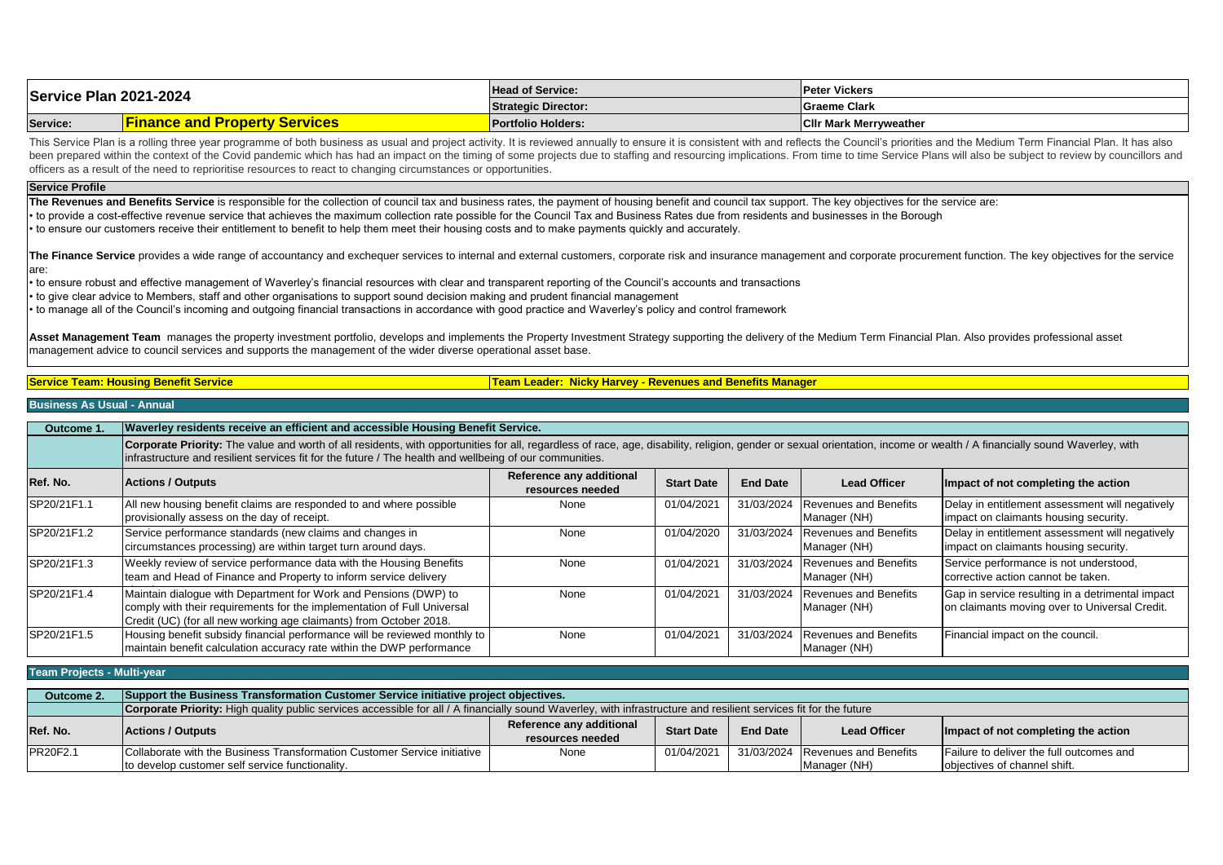| Service Plan 2021-2024 |                                      | <b>Head of Service:</b>    | <b>Peter Vickers</b>          |
|------------------------|--------------------------------------|----------------------------|-------------------------------|
|                        |                                      | <b>Strategic Director:</b> | <b>Graeme Clark</b>           |
| Service:               | <b>Finance and Property Services</b> | Portfolio Holders:         | <b>CIIr Mark Merryweather</b> |

This Service Plan is a rolling three year programme of both business as usual and project activity. It is reviewed annually to ensure it is consistent with and reflects the Council's priorities and the Medium Term Financia been prepared within the context of the Covid pandemic which has had an impact on the timing of some projects due to staffing and resourcing implications. From time to time Service Plans will also be subject to review by c officers as a result of the need to reprioritise resources to react to changing circumstances or opportunities.

#### **Service Profile**

The Revenues and Benefits Service is responsible for the collection of council tax and business rates, the payment of housing benefit and council tax support. The key objectives for the service are: • to provide a cost-effective revenue service that achieves the maximum collection rate possible for the Council Tax and Business Rates due from residents and businesses in the Borough

• to ensure our customers receive their entitlement to benefit to help them meet their housing costs and to make payments quickly and accurately.

The Finance Service provides a wide range of accountancy and exchequer services to internal and external customers, corporate risk and insurance management and corporate procurement function. The key objectives for the ser are:

• to ensure robust and effective management of Waverley's financial resources with clear and transparent reporting of the Council's accounts and transactions

• to give clear advice to Members, staff and other organisations to support sound decision making and prudent financial management

• to manage all of the Council's incoming and outgoing financial transactions in accordance with good practice and Waverley's policy and control framework

Asset Management Team manages the property investment portfolio, develops and implements the Property Investment Strategy supporting the delivery of the Medium Term Financial Plan. Also provides professional asset management advice to council services and supports the management of the wider diverse operational asset base.

**Service Team: Housing Benefit Service The Company of the Company of Team Leader: Nicky Harvey - Revenues and Benefits Manager** 

## **Business As Usual - Annual**

| Outcome 1.  | Waverley residents receive an efficient and accessible Housing Benefit Service.                                                                                                                                                                                                                                                     |      |            |            |                                              |                                                                                                   |  |  |
|-------------|-------------------------------------------------------------------------------------------------------------------------------------------------------------------------------------------------------------------------------------------------------------------------------------------------------------------------------------|------|------------|------------|----------------------------------------------|---------------------------------------------------------------------------------------------------|--|--|
|             | Corporate Priority: The value and worth of all residents, with opportunities for all, regardless of race, age, disability, religion, gender or sexual orientation, income or wealth / A financially sound Waverley, with<br>infrastructure and resilient services fit for the future / The health and wellbeing of our communities. |      |            |            |                                              |                                                                                                   |  |  |
| Ref. No.    | Reference any additional<br><b>End Date</b><br><b>Actions / Outputs</b><br><b>Lead Officer</b><br><b>Start Date</b><br>Impact of not completing the action<br>resources needed                                                                                                                                                      |      |            |            |                                              |                                                                                                   |  |  |
| SP20/21F1.1 | All new housing benefit claims are responded to and where possible<br>provisionally assess on the day of receipt.                                                                                                                                                                                                                   | None | 01/04/2021 | 31/03/2024 | <b>Revenues and Benefits</b><br>Manager (NH) | Delay in entitlement assessment will negatively<br>impact on claimants housing security.          |  |  |
| SP20/21F1.2 | Service performance standards (new claims and changes in<br>circumstances processing) are within target turn around days.                                                                                                                                                                                                           | None | 01/04/2020 | 31/03/2024 | <b>Revenues and Benefits</b><br>Manager (NH) | Delay in entitlement assessment will negatively<br>impact on claimants housing security.          |  |  |
| SP20/21F1.3 | Weekly review of service performance data with the Housing Benefits<br>team and Head of Finance and Property to inform service delivery                                                                                                                                                                                             | None | 01/04/202  | 31/03/2024 | <b>Revenues and Benefits</b><br>Manager (NH) | Service performance is not understood,<br>corrective action cannot be taken.                      |  |  |
| SP20/21F1.4 | Maintain dialogue with Department for Work and Pensions (DWP) to<br>comply with their requirements for the implementation of Full Universal<br>Credit (UC) (for all new working age claimants) from October 2018.                                                                                                                   | None | 01/04/2021 | 31/03/2024 | <b>Revenues and Benefits</b><br>Manager (NH) | Gap in service resulting in a detrimental impact<br>on claimants moving over to Universal Credit. |  |  |
| SP20/21F1.5 | Housing benefit subsidy financial performance will be reviewed monthly to<br>maintain benefit calculation accuracy rate within the DWP performance                                                                                                                                                                                  | None | 01/04/2021 | 31/03/2024 | <b>Revenues and Benefits</b><br>Manager (NH) | Financial impact on the council.                                                                  |  |  |

**Team Projects - Multi-year**

| Outcome 2. | Support the Business Transformation Customer Service initiative project objectives.                                                                               |                                              |                   |                 |                                  |                                          |  |  |
|------------|-------------------------------------------------------------------------------------------------------------------------------------------------------------------|----------------------------------------------|-------------------|-----------------|----------------------------------|------------------------------------------|--|--|
|            | Corporate Priority: High quality public services accessible for all / A financially sound Waverley, with infrastructure and resilient services fit for the future |                                              |                   |                 |                                  |                                          |  |  |
| Ref. No.   | <b>Actions / Outputs</b>                                                                                                                                          | Reference any additional<br>resources needed | <b>Start Date</b> | <b>End Date</b> | <b>Lead Officer</b>              | Impact of not completing the action      |  |  |
| PR20F2.1   | Collaborate with the Business Transformation Customer Service initiative                                                                                          | None                                         | 01/04/2021        |                 | 31/03/2024 Revenues and Benefits | Failure to deliver the full outcomes and |  |  |
|            | to develop customer self service functionality.                                                                                                                   | objectives of channel shift.<br>Manager (NH) |                   |                 |                                  |                                          |  |  |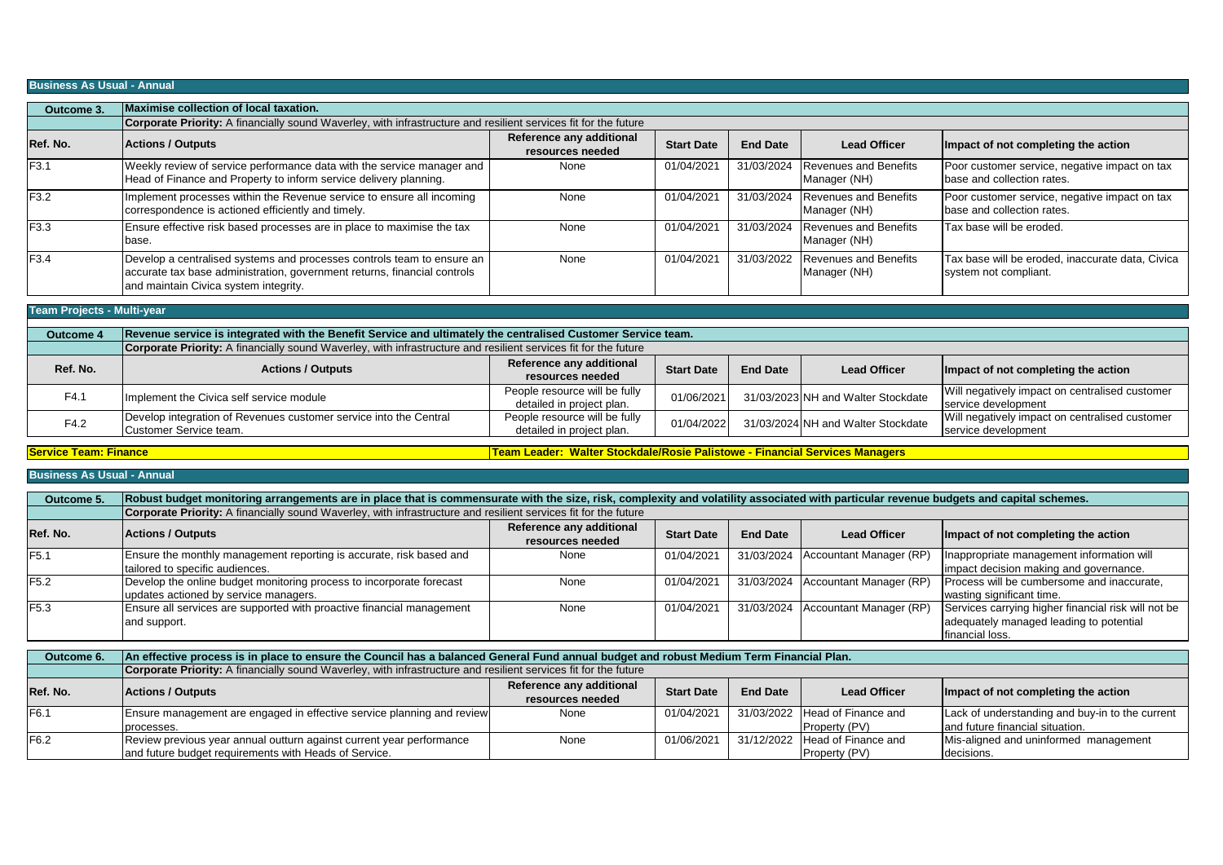## **Business As Usual - Annual**

| Outcome 3.       | <b>Maximise collection of local taxation.</b>                                                                                                                                               |                                              |                   |                 |                                              |                                                                             |  |  |  |
|------------------|---------------------------------------------------------------------------------------------------------------------------------------------------------------------------------------------|----------------------------------------------|-------------------|-----------------|----------------------------------------------|-----------------------------------------------------------------------------|--|--|--|
|                  | Corporate Priority: A financially sound Waverley, with infrastructure and resilient services fit for the future                                                                             |                                              |                   |                 |                                              |                                                                             |  |  |  |
| Ref. No.         | <b>Actions / Outputs</b>                                                                                                                                                                    | Reference any additional<br>resources needed | <b>Start Date</b> | <b>End Date</b> | <b>Lead Officer</b>                          | Impact of not completing the action                                         |  |  |  |
| F <sub>3.1</sub> | Weekly review of service performance data with the service manager and<br>Head of Finance and Property to inform service delivery planning.                                                 | None                                         | 01/04/2021        | 31/03/2024      | <b>Revenues and Benefits</b><br>Manager (NH) | Poor customer service, negative impact on tax<br>base and collection rates. |  |  |  |
| F3.2             | Implement processes within the Revenue service to ensure all incoming<br>correspondence is actioned efficiently and timely.                                                                 | None                                         | 01/04/2021        | 31/03/2024      | <b>Revenues and Benefits</b><br>Manager (NH) | Poor customer service, negative impact on tax<br>base and collection rates. |  |  |  |
| F3.3             | Ensure effective risk based processes are in place to maximise the tax<br>base.                                                                                                             | None                                         | 01/04/2021        | 31/03/2024      | <b>Revenues and Benefits</b><br>Manager (NH) | Tax base will be eroded.                                                    |  |  |  |
| F <sub>3.4</sub> | Develop a centralised systems and processes controls team to ensure an<br>accurate tax base administration, government returns, financial controls<br>and maintain Civica system integrity. | None                                         | 01/04/2021        | 31/03/2022      | <b>Revenues and Benefits</b><br>Manager (NH) | Tax base will be eroded, inaccurate data, Civica<br>system not compliant.   |  |  |  |
|                  |                                                                                                                                                                                             |                                              |                   |                 |                                              |                                                                             |  |  |  |
|                  | <b>Team Projects - Multi-year</b>                                                                                                                                                           |                                              |                   |                 |                                              |                                                                             |  |  |  |
| Outcome 4        | Revenue service is integrated with the Benefit Service and ultimately the centralised Customer Service team.                                                                                |                                              |                   |                 |                                              |                                                                             |  |  |  |
|                  | Cornerate Priority: A financially cound Mayarlov, with infractructure and regiinet convices fit for the future                                                                              |                                              |                   |                 |                                              |                                                                             |  |  |  |

|          | <b>Corporate Priority:</b> A financially sound Waverley, with infrastructure and resilient services fit for the future |                               |                   |                 |                                    |                                                |  |  |  |
|----------|------------------------------------------------------------------------------------------------------------------------|-------------------------------|-------------------|-----------------|------------------------------------|------------------------------------------------|--|--|--|
| Ref. No. | <b>Actions / Outputs</b>                                                                                               | Reference any additional      |                   | <b>End Date</b> | <b>Lead Officer</b>                |                                                |  |  |  |
|          |                                                                                                                        | resources needed              | <b>Start Date</b> |                 |                                    | Impact of not completing the action            |  |  |  |
| F4.1     | Implement the Civica self service module                                                                               | People resource will be fully | 01/06/2021        |                 | 31/03/2023 NH and Walter Stockdate | Will negatively impact on centralised customer |  |  |  |
|          |                                                                                                                        | detailed in project plan.     |                   |                 |                                    | service development                            |  |  |  |
| F4.2     | Develop integration of Revenues customer service into the Central                                                      | People resource will be fully | 01/04/2022        |                 | 31/03/2024 NH and Walter Stockdate | Will negatively impact on centralised customer |  |  |  |
|          | Customer Service team.                                                                                                 | detailed in project plan.     |                   |                 |                                    | service development                            |  |  |  |

**Service Team: Finance** 

**Team Leader: Walter Stockdale/Rosie Palistowe - Financial Services Managers**

Property (PV)

decisions.

**Business As Usual - Annual**

and future budget requirements with Heads of Service.

| Outcome 5.       | Robust budget monitoring arrangements are in place that is commensurate with the size, risk, complexity and volatility associated with particular revenue budgets and capital schemes. |                                              |                   |                 |                                      |                                                                                                                   |  |  |  |
|------------------|----------------------------------------------------------------------------------------------------------------------------------------------------------------------------------------|----------------------------------------------|-------------------|-----------------|--------------------------------------|-------------------------------------------------------------------------------------------------------------------|--|--|--|
|                  | Corporate Priority: A financially sound Waverley, with infrastructure and resilient services fit for the future                                                                        |                                              |                   |                 |                                      |                                                                                                                   |  |  |  |
| Ref. No.         | <b>Actions / Outputs</b>                                                                                                                                                               | Reference any additional<br>resources needed | <b>Start Date</b> | <b>End Date</b> | <b>Lead Officer</b>                  | Impact of not completing the action                                                                               |  |  |  |
| F <sub>5.1</sub> | Ensure the monthly management reporting is accurate, risk based and<br>tailored to specific audiences.                                                                                 | None                                         | 01/04/2021        | 31/03/2024      | Accountant Manager (RP)              | Inappropriate management information will<br>impact decision making and governance.                               |  |  |  |
| F <sub>5.2</sub> | Develop the online budget monitoring process to incorporate forecast<br>updates actioned by service managers.                                                                          | None                                         | 01/04/2021        | 31/03/2024      | Accountant Manager (RP)              | Process will be cumbersome and inaccurate,<br>wasting significant time.                                           |  |  |  |
| F <sub>5.3</sub> | Ensure all services are supported with proactive financial management<br>and support.                                                                                                  | None                                         | 01/04/2021        | 31/03/2024      | Accountant Manager (RP)              | Services carrying higher financial risk will not be<br>adequately managed leading to potential<br>financial loss. |  |  |  |
| Outcome 6.       | An effective process is in place to ensure the Council has a balanced General Fund annual budget and robust Medium Term Financial Plan.                                                |                                              |                   |                 |                                      |                                                                                                                   |  |  |  |
|                  | Corporate Priority: A financially sound Waverley, with infrastructure and resilient services fit for the future                                                                        |                                              |                   |                 |                                      |                                                                                                                   |  |  |  |
| Ref. No.         | <b>Actions / Outputs</b>                                                                                                                                                               | Reference any additional<br>resources needed | <b>Start Date</b> | <b>End Date</b> | <b>Lead Officer</b>                  | Impact of not completing the action                                                                               |  |  |  |
| F6.1             | Ensure management are engaged in effective service planning and review<br>processes.                                                                                                   | None                                         | 01/04/2021        | 31/03/2022      | Head of Finance and<br>Property (PV) | Lack of understanding and buy-in to the current<br>land future financial situation.                               |  |  |  |
| F6.2             | Review previous year annual outturn against current year performance                                                                                                                   | None                                         | 01/06/2021        | 31/12/2022      | Head of Finance and                  | Mis-aligned and uninformed management                                                                             |  |  |  |